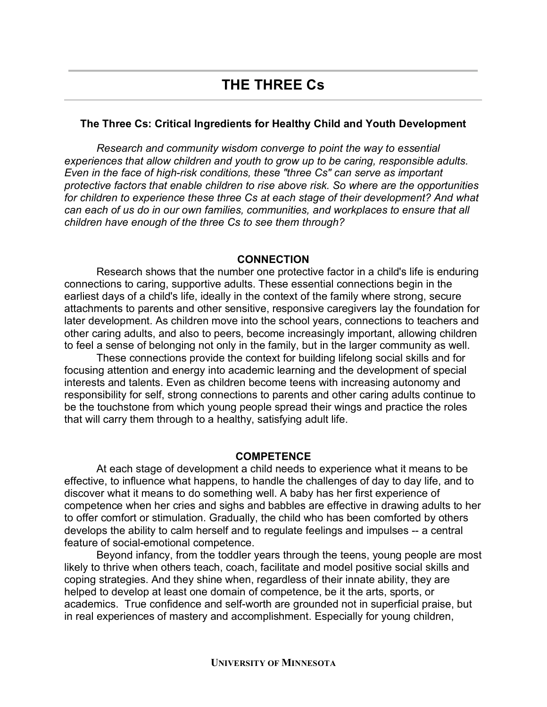## **The Three Cs: Critical Ingredients for Healthy Child and Youth Development**

*Research and community wisdom converge to point the way to essential experiences that allow children and youth to grow up to be caring, responsible adults. Even in the face of high-risk conditions, these "three Cs" can serve as important protective factors that enable children to rise above risk. So where are the opportunities for children to experience these three Cs at each stage of their development? And what can each of us do in our own families, communities, and workplaces to ensure that all children have enough of the three Cs to see them through?*

## **CONNECTION**

Research shows that the number one protective factor in a child's life is enduring connections to caring, supportive adults. These essential connections begin in the earliest days of a child's life, ideally in the context of the family where strong, secure attachments to parents and other sensitive, responsive caregivers lay the foundation for later development. As children move into the school years, connections to teachers and other caring adults, and also to peers, become increasingly important, allowing children to feel a sense of belonging not only in the family, but in the larger community as well.

These connections provide the context for building lifelong social skills and for focusing attention and energy into academic learning and the development of special interests and talents. Even as children become teens with increasing autonomy and responsibility for self, strong connections to parents and other caring adults continue to be the touchstone from which young people spread their wings and practice the roles that will carry them through to a healthy, satisfying adult life.

## **COMPETENCE**

At each stage of development a child needs to experience what it means to be effective, to influence what happens, to handle the challenges of day to day life, and to discover what it means to do something well. A baby has her first experience of competence when her cries and sighs and babbles are effective in drawing adults to her to offer comfort or stimulation. Gradually, the child who has been comforted by others develops the ability to calm herself and to regulate feelings and impulses -- a central feature of social-emotional competence.

Beyond infancy, from the toddler years through the teens, young people are most likely to thrive when others teach, coach, facilitate and model positive social skills and coping strategies. And they shine when, regardless of their innate ability, they are helped to develop at least one domain of competence, be it the arts, sports, or academics. True confidence and self-worth are grounded not in superficial praise, but in real experiences of mastery and accomplishment. Especially for young children,